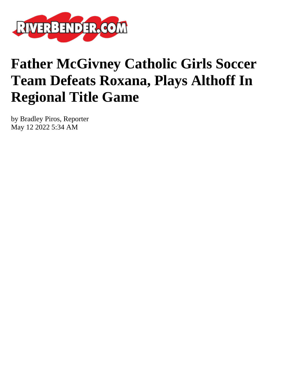

## **Father McGivney Catholic Girls Soccer Team Defeats Roxana, Plays Althoff In Regional Title Game**

by Bradley Piros, Reporter May 12 2022 5:34 AM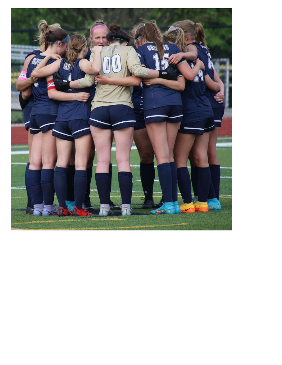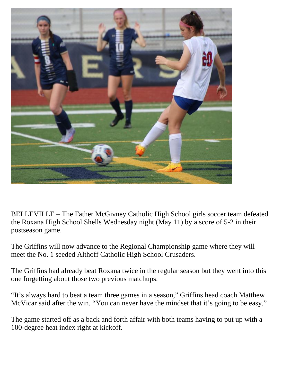

BELLEVILLE – The Father McGivney Catholic High School girls soccer team defeated the Roxana High School Shells Wednesday night (May 11) by a score of 5-2 in their postseason game.

The Griffins will now advance to the Regional Championship game where they will meet the No. 1 seeded Althoff Catholic High School Crusaders.

The Griffins had already beat Roxana twice in the regular season but they went into this one forgetting about those two previous matchups.

"It's always hard to beat a team three games in a season," Griffins head coach Matthew McVicar said after the win. "You can never have the mindset that it's going to be easy,"

The game started off as a back and forth affair with both teams having to put up with a 100-degree heat index right at kickoff.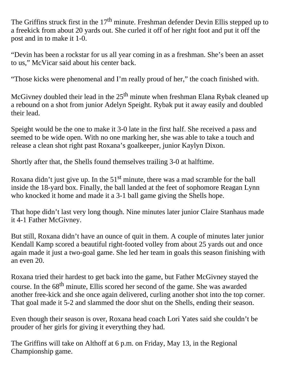The Griffins struck first in the  $17<sup>th</sup>$  minute. Freshman defender Devin Ellis stepped up to a freekick from about 20 yards out. She curled it off of her right foot and put it off the post and in to make it 1-0.

"Devin has been a rockstar for us all year coming in as a freshman. She's been an asset to us," McVicar said about his center back.

"Those kicks were phenomenal and I'm really proud of her," the coach finished with.

McGivney doubled their lead in the  $25<sup>th</sup>$  minute when freshman Elana Rybak cleaned up a rebound on a shot from junior Adelyn Speight. Rybak put it away easily and doubled their lead.

Speight would be the one to make it 3-0 late in the first half. She received a pass and seemed to be wide open. With no one marking her, she was able to take a touch and release a clean shot right past Roxana's goalkeeper, junior Kaylyn Dixon.

Shortly after that, the Shells found themselves trailing 3-0 at halftime.

Roxana didn't just give up. In the  $51<sup>st</sup>$  minute, there was a mad scramble for the ball inside the 18-yard box. Finally, the ball landed at the feet of sophomore Reagan Lynn who knocked it home and made it a 3-1 ball game giving the Shells hope.

That hope didn't last very long though. Nine minutes later junior Claire Stanhaus made it 4-1 Father McGivney.

But still, Roxana didn't have an ounce of quit in them. A couple of minutes later junior Kendall Kamp scored a beautiful right-footed volley from about 25 yards out and once again made it just a two-goal game. She led her team in goals this season finishing with an even 20.

Roxana tried their hardest to get back into the game, but Father McGivney stayed the course. In the  $68<sup>th</sup>$  minute, Ellis scored her second of the game. She was awarded another free-kick and she once again delivered, curling another shot into the top corner. That goal made it 5-2 and slammed the door shut on the Shells, ending their season.

Even though their season is over, Roxana head coach Lori Yates said she couldn't be prouder of her girls for giving it everything they had.

The Griffins will take on Althoff at 6 p.m. on Friday, May 13, in the Regional Championship game.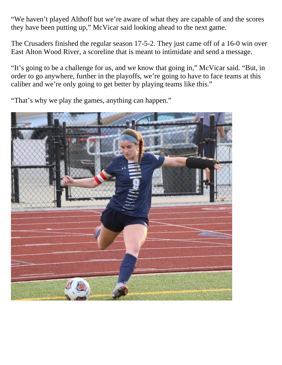"We haven't played Althoff but we're aware of what they are capable of and the scores they have been putting up," McVicar said looking ahead to the next game.

The Crusaders finished the regular season 17-5-2. They just came off of a 16-0 win over East Alton Wood River, a scoreline that is meant to intimidate and send a message.

"It's going to be a challenge for us, and we know that going in," McVicar said. "But, in order to go anywhere, further in the playoffs, we're going to have to face teams at this caliber and we're only going to get better by playing teams like this."

"That's why we play the games, anything can happen."

![](_page_4_Picture_4.jpeg)